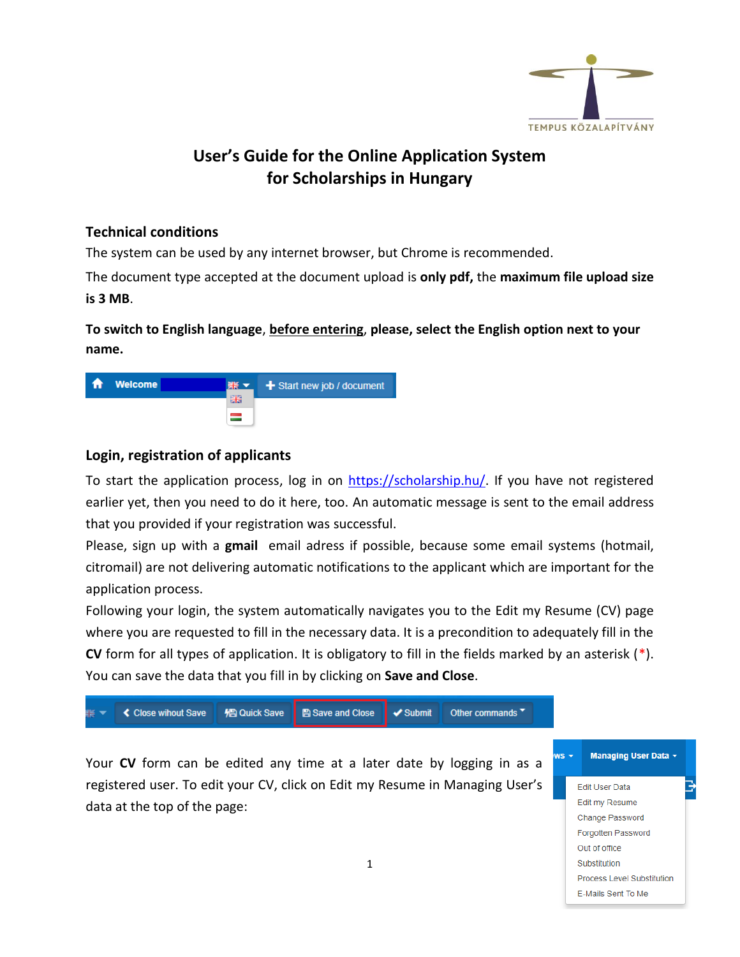

## **User's Guide for the Online Application System for Scholarships in Hungary**

## **Technical conditions**

The system can be used by any internet browser, but Chrome is recommended.

The document type accepted at the document upload is **only pdf,** the **maximum file upload size is 3 MB**.

**To switch to English language**, **before entering**, **please, select the English option next to your name.**



## **Login, registration of applicants**

To start the application process, log in on [https://scholarship.hu/.](https://scholarship.hu/) If you have not registered earlier yet, then you need to do it here, too. An automatic message is sent to the email address that you provided if your registration was successful.

Please, sign up with a **gmail** email adress if possible, because some email systems (hotmail, citromail) are not delivering automatic notifications to the applicant which are important for the application process.

Following your login, the system automatically navigates you to the Edit my Resume (CV) page where you are requested to fill in the necessary data. It is a precondition to adequately fill in the **CV** form for all types of application. It is obligatory to fill in the fields marked by an asterisk (\*). You can save the data that you fill in by clicking on **Save and Close**.

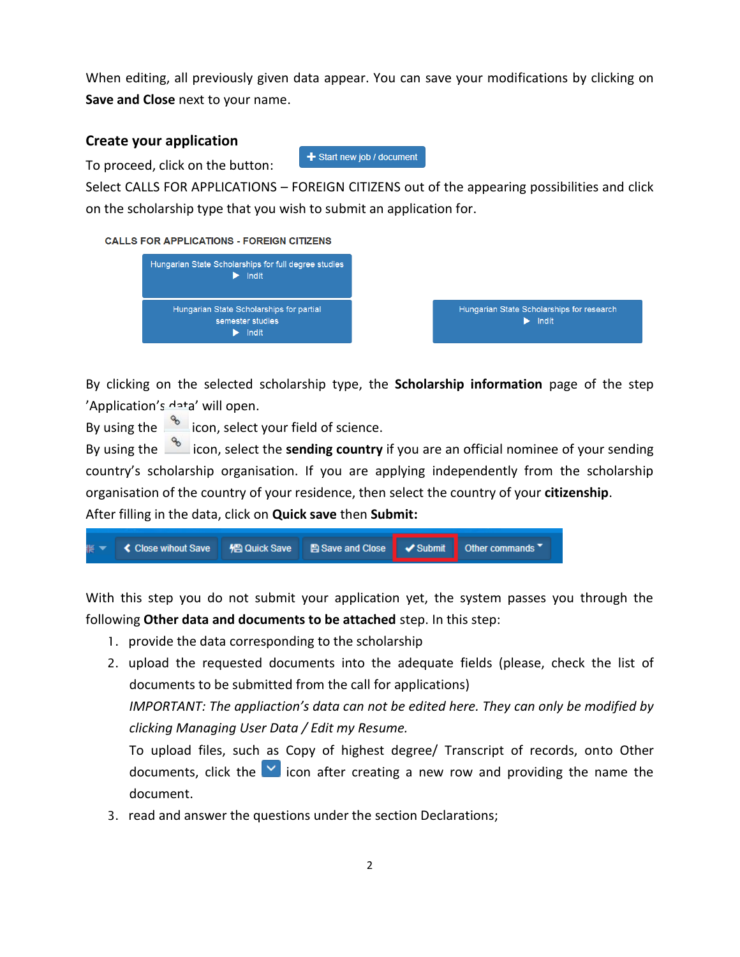When editing, all previously given data appear. You can save your modifications by clicking on **Save and Close** next to your name.

## **Create your application**

To proceed, click on the button:

Select CALLS FOR APPLICATIONS – FOREIGN CITIZENS out of the appearing possibilities and click on the scholarship type that you wish to submit an application for.

 $+$  Start new job / document

**CALLS FOR APPLICATIONS - FOREIGN CITIZENS** 



By clicking on the selected scholarship type, the **Scholarship information** page of the step 'Application's data' will open.

By using the  $\frac{1}{2}$  icon, select your field of science.

By using the **incom** icon, select the **sending country** if you are an official nominee of your sending country's scholarship organisation. If you are applying independently from the scholarship organisation of the country of your residence, then select the country of your **citizenship**.

After filling in the data, click on **Quick save** then **Submit:**



With this step you do not submit your application yet, the system passes you through the following **Other data and documents to be attached** step. In this step:

- 1. provide the data corresponding to the scholarship
- 2. upload the requested documents into the adequate fields (please, check the list of documents to be submitted from the call for applications)

*IMPORTANT: The appliaction's data can not be edited here. They can only be modified by clicking Managing User Data / Edit my Resume.*

To upload files, such as Copy of highest degree/ Transcript of records, onto Other documents, click the  $\blacksquare$  icon after creating a new row and providing the name the document.

3. read and answer the questions under the section Declarations;